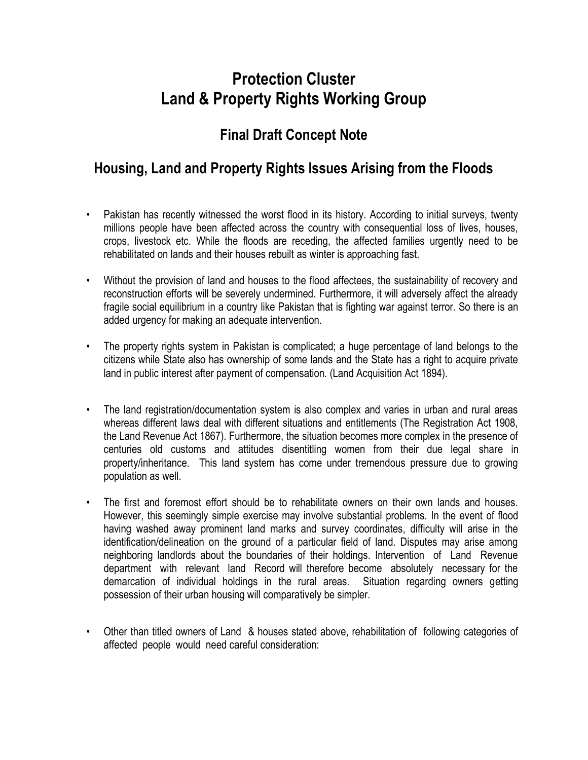## **Protection Cluster Land & Property Rights Working Group**

## **Final Draft Concept Note**

## **Housing, Land and Property Rights Issues Arising from the Floods**

- Pakistan has recently witnessed the worst flood in its history. According to initial surveys, twenty millions people have been affected across the country with consequential loss of lives, houses, crops, livestock etc. While the floods are receding, the affected families urgently need to be rehabilitated on lands and their houses rebuilt as winter is approaching fast.
- Without the provision of land and houses to the flood affectees, the sustainability of recovery and reconstruction efforts will be severely undermined. Furthermore, it will adversely affect the already fragile social equilibrium in a country like Pakistan that is fighting war against terror. So there is an added urgency for making an adequate intervention.
- The property rights system in Pakistan is complicated; a huge percentage of land belongs to the citizens while State also has ownership of some lands and the State has a right to acquire private land in public interest after payment of compensation. (Land Acquisition Act 1894).
- The land registration/documentation system is also complex and varies in urban and rural areas whereas different laws deal with different situations and entitlements (The Registration Act 1908, the Land Revenue Act 1867). Furthermore, the situation becomes more complex in the presence of centuries old customs and attitudes disentitling women from their due legal share in property/inheritance. This land system has come under tremendous pressure due to growing population as well.
- The first and foremost effort should be to rehabilitate owners on their own lands and houses. However, this seemingly simple exercise may involve substantial problems. In the event of flood having washed away prominent land marks and survey coordinates, difficulty will arise in the identification/delineation on the ground of a particular field of land. Disputes may arise among neighboring landlords about the boundaries of their holdings. Intervention of Land Revenue department with relevant land Record will therefore become absolutely necessary for the demarcation of individual holdings in the rural areas. Situation regarding owners getting possession of their urban housing will comparatively be simpler.
- Other than titled owners of Land & houses stated above, rehabilitation of following categories of affected people would need careful consideration: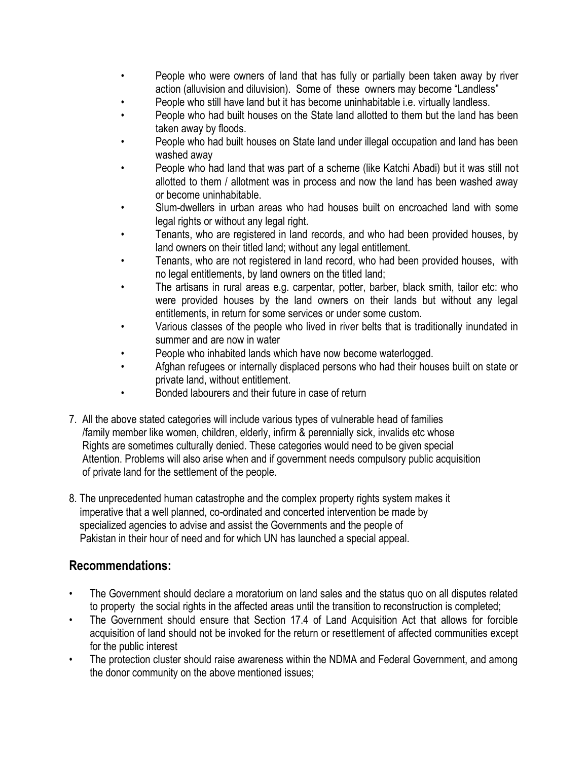- People who were owners of land that has fully or partially been taken away by river action (alluvision and diluvision). Some of these owners may become "Landless"
- People who still have land but it has become uninhabitable i.e. virtually landless.
- People who had built houses on the State land allotted to them but the land has been taken away by floods.
- People who had built houses on State land under illegal occupation and land has been washed away
- People who had land that was part of a scheme (like Katchi Abadi) but it was still not allotted to them / allotment was in process and now the land has been washed away or become uninhabitable.
- Slum-dwellers in urban areas who had houses built on encroached land with some legal rights or without any legal right.
- Tenants, who are registered in land records, and who had been provided houses, by land owners on their titled land; without any legal entitlement.
- Tenants, who are not registered in land record, who had been provided houses, with no legal entitlements, by land owners on the titled land;
- The artisans in rural areas e.g. carpentar, potter, barber, black smith, tailor etc: who were provided houses by the land owners on their lands but without any legal entitlements, in return for some services or under some custom.
- Various classes of the people who lived in river belts that is traditionally inundated in summer and are now in water
- People who inhabited lands which have now become waterlogged.
- Afghan refugees or internally displaced persons who had their houses built on state or private land, without entitlement.
- Bonded labourers and their future in case of return
- 7. All the above stated categories will include various types of vulnerable head of families /family member like women, children, elderly, infirm & perennially sick, invalids etc whose Rights are sometimes culturally denied. These categories would need to be given special Attention. Problems will also arise when and if government needs compulsory public acquisition of private land for the settlement of the people.
- 8. The unprecedented human catastrophe and the complex property rights system makes it imperative that a well planned, co-ordinated and concerted intervention be made by specialized agencies to advise and assist the Governments and the people of Pakistan in their hour of need and for which UN has launched a special appeal.

## **Recommendations:**

- The Government should declare a moratorium on land sales and the status quo on all disputes related to property the social rights in the affected areas until the transition to reconstruction is completed;
- The Government should ensure that Section 17.4 of Land Acquisition Act that allows for forcible acquisition of land should not be invoked for the return or resettlement of affected communities except for the public interest
- The protection cluster should raise awareness within the NDMA and Federal Government, and among the donor community on the above mentioned issues;